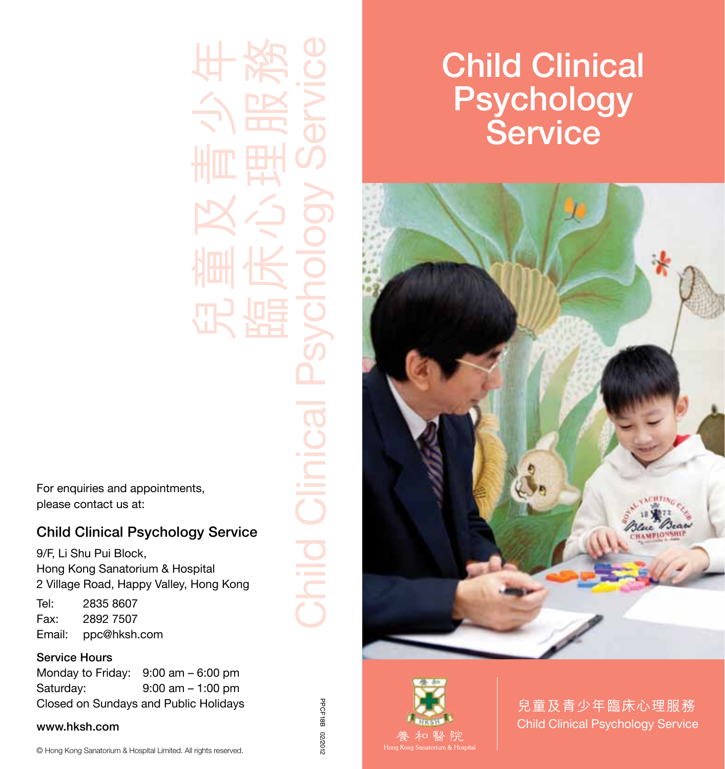For enquiries and appointments, please contact us at:

## Child Clinical Psychology Service

9/F, Li Shu Pui Block, Hong Kong Sanatorium & Hospital 2 Village Road, Happy Valley, Hong Kong Tel: 2835 8607 Fax: 2892 7507

Email: ppc@hksh.com

## Service Hours

| Monday to Friday: | $9:00$ am $-6:00$ pm                  |
|-------------------|---------------------------------------|
| Saturdav:         | $9:00$ am $-1:00$ pm                  |
|                   | Closed on Sundays and Public Holidays |

#### www.hksh.com

© Hong Kong Sanatorium & Hospital Limited. All rights reserved.

臨床心理服務 Child Clinical Psychology Service hild Clinical

PPCF18B 02/2012

2102/20

PPCF18B

兒童及青少年

# Child Clinical **Psychology** Service





兒童及青少年臨床心理服務 Child Clinical Psychology Service